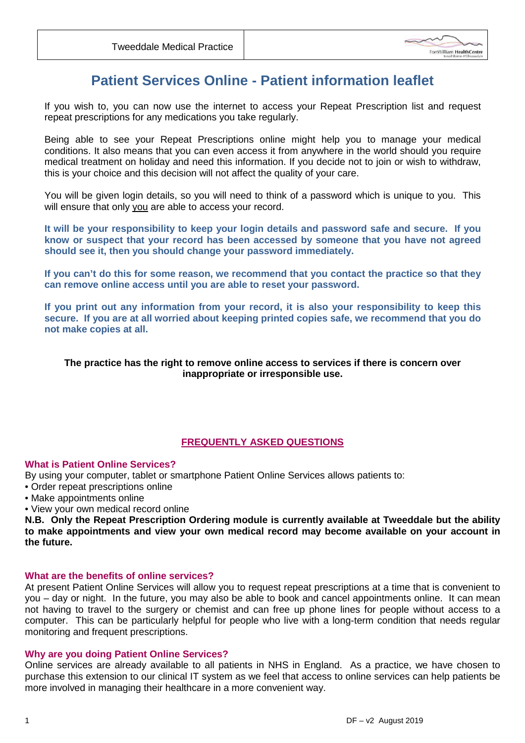

# **Patient Services Online - Patient information leaflet**

If you wish to, you can now use the internet to access your Repeat Prescription list and request repeat prescriptions for any medications you take regularly.

Being able to see your Repeat Prescriptions online might help you to manage your medical conditions. It also means that you can even access it from anywhere in the world should you require medical treatment on holiday and need this information. If you decide not to join or wish to withdraw, this is your choice and this decision will not affect the quality of your care.

You will be given login details, so you will need to think of a password which is unique to you. This will ensure that only you are able to access your record.

**It will be your responsibility to keep your login details and password safe and secure. If you know or suspect that your record has been accessed by someone that you have not agreed should see it, then you should change your password immediately.** 

**If you can't do this for some reason, we recommend that you contact the practice so that they can remove online access until you are able to reset your password.** 

**If you print out any information from your record, it is also your responsibility to keep this secure. If you are at all worried about keeping printed copies safe, we recommend that you do not make copies at all.** 

# **The practice has the right to remove online access to services if there is concern over inappropriate or irresponsible use.**

# **FREQUENTLY ASKED QUESTIONS**

## **What is Patient Online Services?**

By using your computer, tablet or smartphone Patient Online Services allows patients to:

- Order repeat prescriptions online
- Make appointments online
- View your own medical record online

**N.B. Only the Repeat Prescription Ordering module is currently available at Tweeddale but the ability to make appointments and view your own medical record may become available on your account in the future.** 

# **What are the benefits of online services?**

At present Patient Online Services will allow you to request repeat prescriptions at a time that is convenient to you – day or night. In the future, you may also be able to book and cancel appointments online. It can mean not having to travel to the surgery or chemist and can free up phone lines for people without access to a computer. This can be particularly helpful for people who live with a long-term condition that needs regular monitoring and frequent prescriptions.

## **Why are you doing Patient Online Services?**

Online services are already available to all patients in NHS in England. As a practice, we have chosen to purchase this extension to our clinical IT system as we feel that access to online services can help patients be more involved in managing their healthcare in a more convenient way.